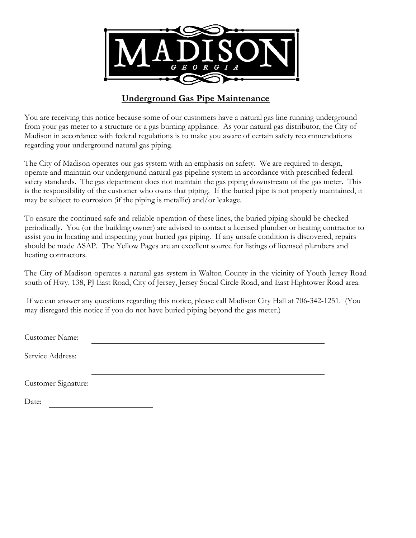

## **Underground Gas Pipe Maintenance**

You are receiving this notice because some of our customers have a natural gas line running underground from your gas meter to a structure or a gas burning appliance. As your natural gas distributor, the City of Madison in accordance with federal regulations is to make you aware of certain safety recommendations regarding your underground natural gas piping.

The City of Madison operates our gas system with an emphasis on safety. We are required to design, operate and maintain our underground natural gas pipeline system in accordance with prescribed federal safety standards. The gas department does not maintain the gas piping downstream of the gas meter. This is the responsibility of the customer who owns that piping. If the buried pipe is not properly maintained, it may be subject to corrosion (if the piping is metallic) and/or leakage.

To ensure the continued safe and reliable operation of these lines, the buried piping should be checked periodically. You (or the building owner) are advised to contact a licensed plumber or heating contractor to assist you in locating and inspecting your buried gas piping. If any unsafe condition is discovered, repairs should be made ASAP. The Yellow Pages are an excellent source for listings of licensed plumbers and heating contractors.

The City of Madison operates a natural gas system in Walton County in the vicinity of Youth Jersey Road south of Hwy. 138, PJ East Road, City of Jersey, Jersey Social Circle Road, and East Hightower Road area.

 If we can answer any questions regarding this notice, please call Madison City Hall at 706-342-1251. (You may disregard this notice if you do not have buried piping beyond the gas meter.)

| Customer Name:      |  |
|---------------------|--|
| Service Address:    |  |
|                     |  |
| Customer Signature: |  |
| Date:               |  |